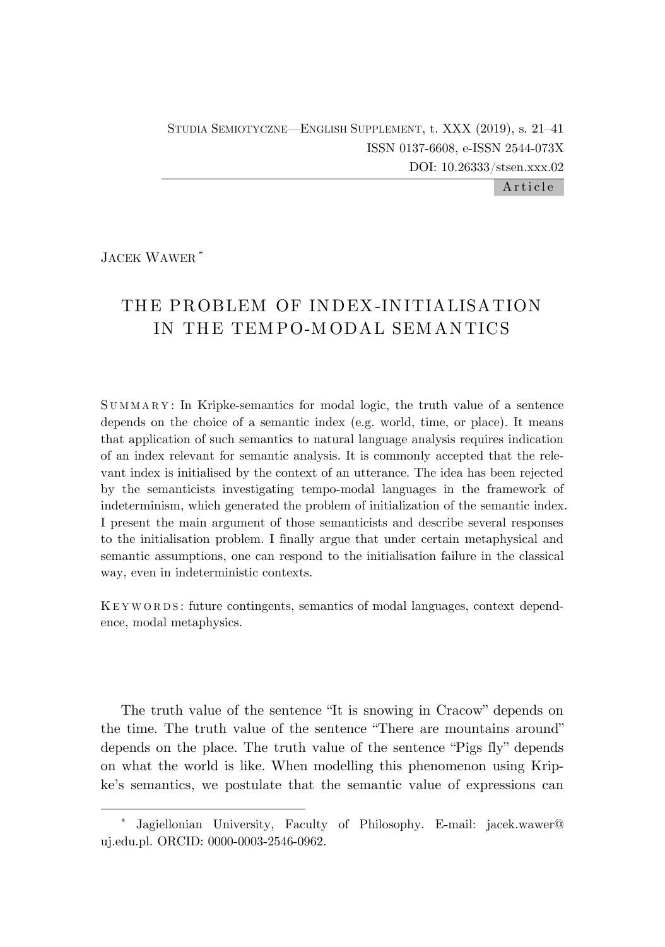A r ti cle

JACEK WAWER \*

# THE PROBLEM OF INDEX-INITIALISATION IN THE TEM PO-M ODAL SEM ANTICS

S U M M A R Y : In Kripke-semantics for modal logic, the truth value of a sentence depends on the choice of a semantic index (e.g. world, time, or place). It means that application of such semantics to natural language analysis requires indication of an index relevant for semantic analysis. It is commonly accepted that the relevant index is initialised by the context of an utterance. The idea has been rejected by the semanticists investigating tempo-modal languages in the framework of indeterminism, which generated the problem of initialization of the semantic index. I present the main argument of those semanticists and describe several responses to the initialisation problem. I finally argue that under certain metaphysical and semantic assumptions, one can respond to the initialisation failure in the classical way, even in indeterministic contexts.

K E Y W O R D S : future contingents, semantics of modal languages, context dependence, modal metaphysics.

The truth value of the sentence "It is snowing in Cracow" depends on the time. The truth value of the sentence "There are mountains around" depends on the place. The truth value of the sentence "Pigs fly" depends on what the world is like. When modelling this phenomenon using Kripke's semantics, we postulate that the semantic value of expressions can

<sup>\*</sup> Jagiellonian University, Faculty of Philosophy. E-mail: jacek.wawer@ uj.edu.pl. ORCID: 0000-0003-2546-0962.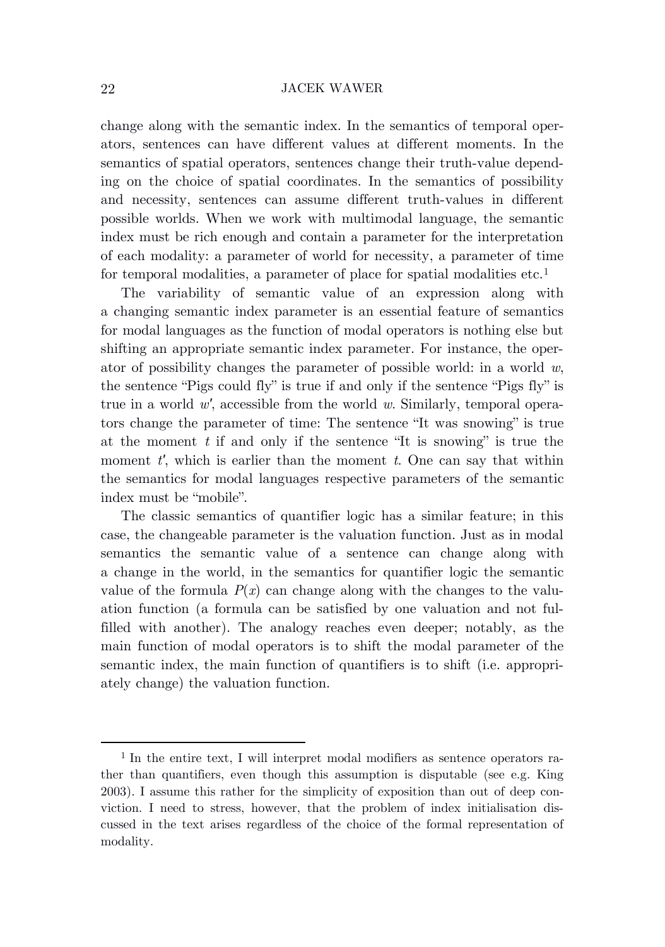change along with the semantic index. In the semantics of temporal operators, sentences can have different values at different moments. In the semantics of spatial operators, sentences change their truth-value depending on the choice of spatial coordinates. In the semantics of possibility and necessity, sentences can assume different truth-values in different possible worlds. When we work with multimodal language, the semantic index must be rich enough and contain a parameter for the interpretation of each modality: a parameter of world for necessity, a parameter of time for temporal modalities, a parameter of place for spatial modalities etc.<sup>1</sup>

The variability of semantic value of an expression along with a changing semantic index parameter is an essential feature of semantics for modal languages as the function of modal operators is nothing else but shifting an appropriate semantic index parameter. For instance, the operator of possibility changes the parameter of possible world: in a world *w*, the sentence "Pigs could fly" is true if and only if the sentence "Pigs fly" is true in a world *w′*, accessible from the world *w*. Similarly, temporal operators change the parameter of time: The sentence "It was snowing" is true at the moment *t* if and only if the sentence "It is snowing" is true the moment *t'*, which is earlier than the moment *t*. One can say that within the semantics for modal languages respective parameters of the semantic index must be "mobile".

The classic semantics of quantifier logic has a similar feature; in this case, the changeable parameter is the valuation function. Just as in modal semantics the semantic value of a sentence can change along with a change in the world, in the semantics for quantifier logic the semantic value of the formula  $P(x)$  can change along with the changes to the valuation function (a formula can be satisfied by one valuation and not fulfilled with another). The analogy reaches even deeper; notably, as the main function of modal operators is to shift the modal parameter of the semantic index, the main function of quantifiers is to shift (i.e. appropriately change) the valuation function.

<sup>&</sup>lt;sup>1</sup> In the entire text, I will interpret modal modifiers as sentence operators rather than quantifiers, even though this assumption is disputable (see e.g. King 2003). I assume this rather for the simplicity of exposition than out of deep conviction. I need to stress, however, that the problem of index initialisation discussed in the text arises regardless of the choice of the formal representation of modality.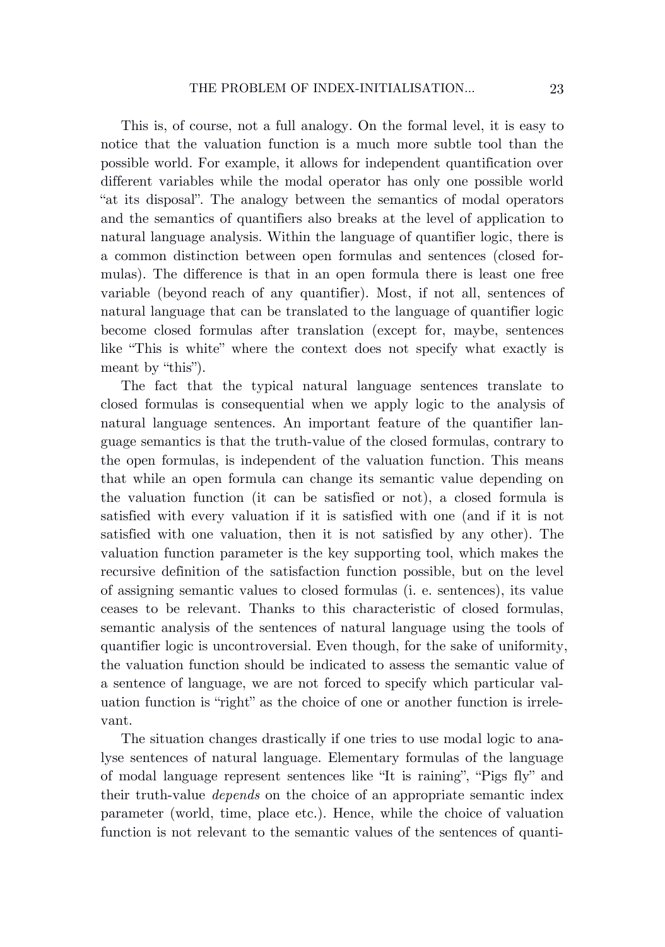This is, of course, not a full analogy. On the formal level, it is easy to notice that the valuation function is a much more subtle tool than the possible world. For example, it allows for independent quantification over different variables while the modal operator has only one possible world "at its disposal". The analogy between the semantics of modal operators and the semantics of quantifiers also breaks at the level of application to natural language analysis. Within the language of quantifier logic, there is a common distinction between open formulas and sentences (closed formulas). The difference is that in an open formula there is least one free variable (beyond reach of any quantifier). Most, if not all, sentences of natural language that can be translated to the language of quantifier logic become closed formulas after translation (except for, maybe, sentences like "This is white" where the context does not specify what exactly is meant by "this").

The fact that the typical natural language sentences translate to closed formulas is consequential when we apply logic to the analysis of natural language sentences. An important feature of the quantifier language semantics is that the truth-value of the closed formulas, contrary to the open formulas, is independent of the valuation function. This means that while an open formula can change its semantic value depending on the valuation function (it can be satisfied or not), a closed formula is satisfied with every valuation if it is satisfied with one (and if it is not satisfied with one valuation, then it is not satisfied by any other). The valuation function parameter is the key supporting tool, which makes the recursive definition of the satisfaction function possible, but on the level of assigning semantic values to closed formulas (i. e. sentences), its value ceases to be relevant. Thanks to this characteristic of closed formulas, semantic analysis of the sentences of natural language using the tools of quantifier logic is uncontroversial. Even though, for the sake of uniformity, the valuation function should be indicated to assess the semantic value of a sentence of language, we are not forced to specify which particular valuation function is "right" as the choice of one or another function is irrelevant.

The situation changes drastically if one tries to use modal logic to analyse sentences of natural language. Elementary formulas of the language of modal language represent sentences like "It is raining", "Pigs fly" and their truth-value *depends* on the choice of an appropriate semantic index parameter (world, time, place etc.). Hence, while the choice of valuation function is not relevant to the semantic values of the sentences of quanti-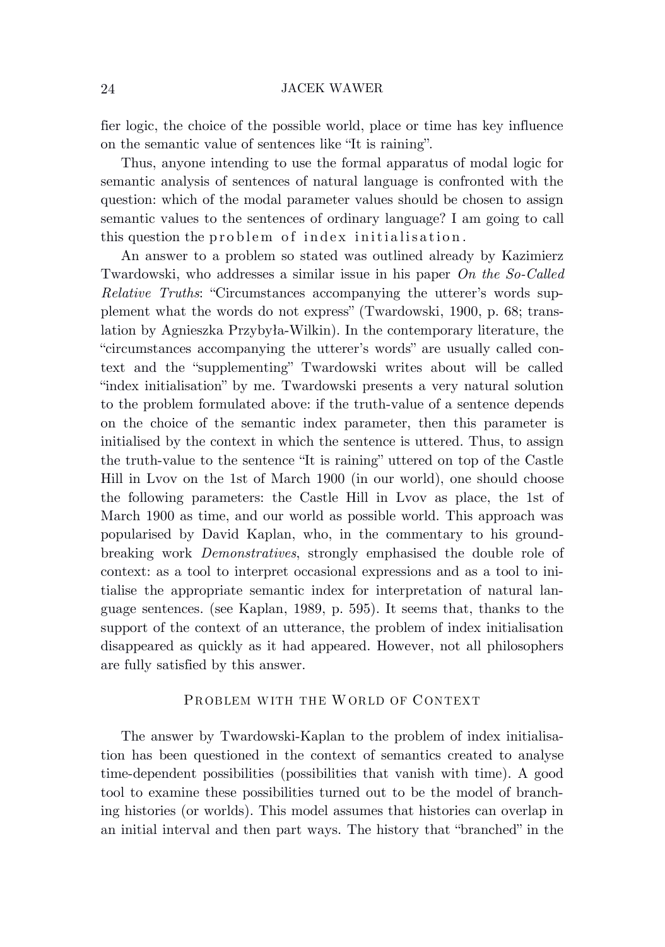fier logic, the choice of the possible world, place or time has key influence on the semantic value of sentences like "It is raining".

Thus, anyone intending to use the formal apparatus of modal logic for semantic analysis of sentences of natural language is confronted with the question: which of the modal parameter values should be chosen to assign semantic values to the sentences of ordinary language? I am going to call this question the problem of index initialisation .

An answer to a problem so stated was outlined already by Kazimierz Twardowski, who addresses a similar issue in his paper *On the So-Called Relative Truths*: "Circumstances accompanying the utterer's words supplement what the words do not express" (Twardowski, 1900, p. 68; translation by Agnieszka Przybyła-Wilkin). In the contemporary literature, the "circumstances accompanying the utterer's words" are usually called context and the "supplementing" Twardowski writes about will be called "index initialisation" by me. Twardowski presents a very natural solution to the problem formulated above: if the truth-value of a sentence depends on the choice of the semantic index parameter, then this parameter is initialised by the context in which the sentence is uttered. Thus, to assign the truth-value to the sentence "It is raining" uttered on top of the Castle Hill in Lvov on the 1st of March 1900 (in our world), one should choose the following parameters: the Castle Hill in Lvov as place, the 1st of March 1900 as time, and our world as possible world. This approach was popularised by David Kaplan, who, in the commentary to his groundbreaking work *Demonstratives*, strongly emphasised the double role of context: as a tool to interpret occasional expressions and as a tool to initialise the appropriate semantic index for interpretation of natural language sentences. (see Kaplan, 1989, p. 595). It seems that, thanks to the support of the context of an utterance, the problem of index initialisation disappeared as quickly as it had appeared. However, not all philosophers are fully satisfied by this answer.

# PROBLEM WITH THE WORLD OF CONTEXT

The answer by Twardowski-Kaplan to the problem of index initialisation has been questioned in the context of semantics created to analyse time-dependent possibilities (possibilities that vanish with time). A good tool to examine these possibilities turned out to be the model of branching histories (or worlds). This model assumes that histories can overlap in an initial interval and then part ways. The history that "branched" in the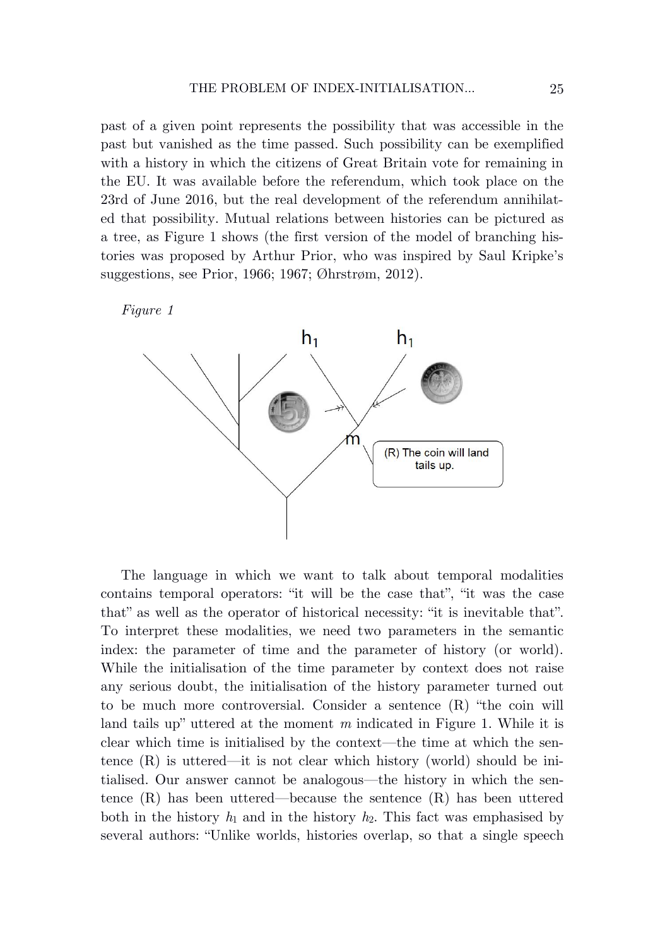past of a given point represents the possibility that was accessible in the past but vanished as the time passed. Such possibility can be exemplified with a history in which the citizens of Great Britain vote for remaining in the EU. It was available before the referendum, which took place on the 23rd of June 2016, but the real development of the referendum annihilated that possibility. Mutual relations between histories can be pictured as a tree, as Figure 1 shows (the first version of the model of branching histories was proposed by Arthur Prior, who was inspired by Saul Kripke's suggestions, see Prior, 1966; 1967; Øhrstrøm, 2012).





The language in which we want to talk about temporal modalities contains temporal operators: "it will be the case that", "it was the case that" as well as the operator of historical necessity: "it is inevitable that". To interpret these modalities, we need two parameters in the semantic index: the parameter of time and the parameter of history (or world). While the initialisation of the time parameter by context does not raise any serious doubt, the initialisation of the history parameter turned out to be much more controversial. Consider a sentence (R) "the coin will land tails up" uttered at the moment *m* indicated in Figure 1. While it is clear which time is initialised by the context—the time at which the sentence  $(R)$  is uttered—it is not clear which history (world) should be initialised. Our answer cannot be analogous—the history in which the sentence (R) has been uttered—because the sentence (R) has been uttered both in the history  $h_1$  and in the history  $h_2$ . This fact was emphasised by several authors: "Unlike worlds, histories overlap, so that a single speech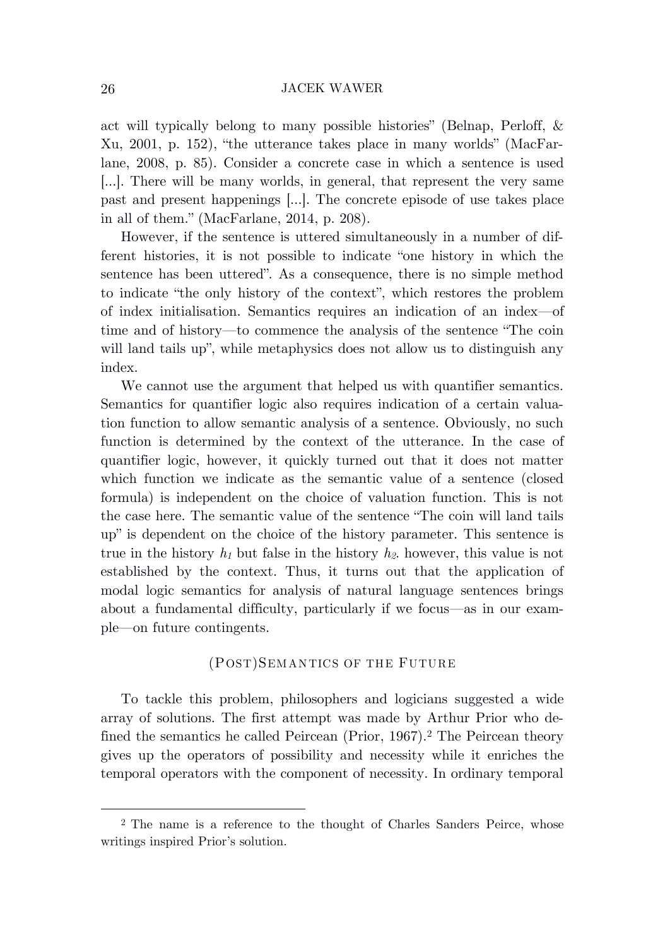act will typically belong to many possible histories" (Belnap, Perloff, & Xu, 2001, p. 152), "the utterance takes place in many worlds" (MacFarlane, 2008, p. 85). Consider a concrete case in which a sentence is used […]. There will be many worlds, in general, that represent the very same past and present happenings […]. The concrete episode of use takes place in all of them." (MacFarlane, 2014, p. 208).

However, if the sentence is uttered simultaneously in a number of different histories, it is not possible to indicate "one history in which the sentence has been uttered". As a consequence, there is no simple method to indicate "the only history of the context", which restores the problem of index initialisation. Semantics requires an indication of an index—of time and of history—to commence the analysis of the sentence "The coin will land tails up", while metaphysics does not allow us to distinguish any index.

We cannot use the argument that helped us with quantifier semantics. Semantics for quantifier logic also requires indication of a certain valuation function to allow semantic analysis of a sentence. Obviously, no such function is determined by the context of the utterance. In the case of quantifier logic, however, it quickly turned out that it does not matter which function we indicate as the semantic value of a sentence (closed formula) is independent on the choice of valuation function. This is not the case here. The semantic value of the sentence "The coin will land tails up" is dependent on the choice of the history parameter. This sentence is true in the history *h<sup>1</sup>* but false in the history *h2*. however, this value is not established by the context. Thus, it turns out that the application of modal logic semantics for analysis of natural language sentences brings about a fundamental difficulty, particularly if we focus—as in our example—on future contingents.

## (POST)SEMANTICS OF THE FUTURE

To tackle this problem, philosophers and logicians suggested a wide array of solutions. The first attempt was made by Arthur Prior who defined the semantics he called Peircean (Prior, 1967).<sup>2</sup> The Peircean theory gives up the operators of possibility and necessity while it enriches the temporal operators with the component of necessity. In ordinary temporal

<sup>2</sup> The name is a reference to the thought of Charles Sanders Peirce, whose writings inspired Prior's solution.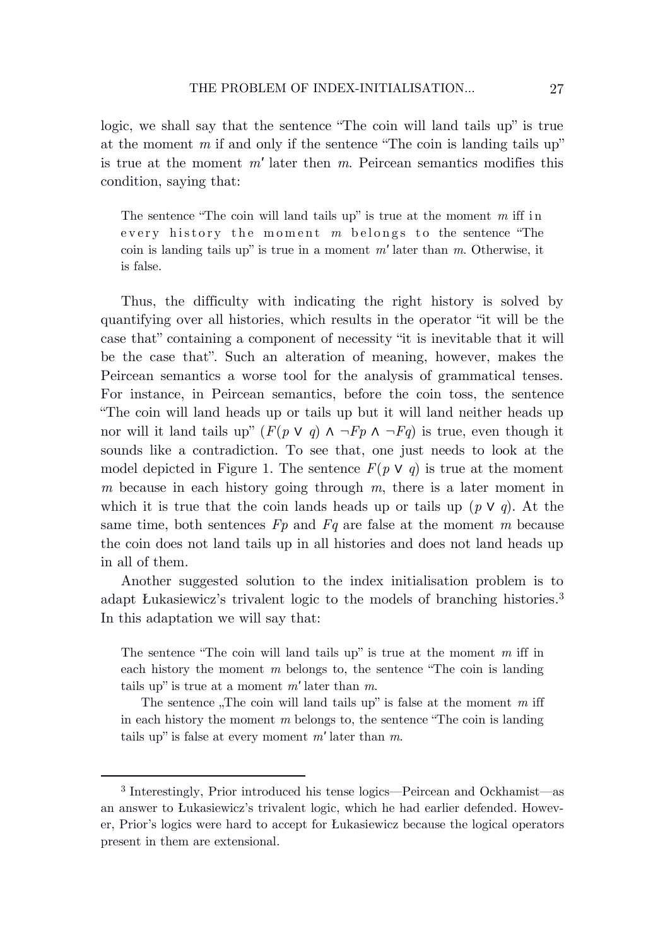logic, we shall say that the sentence "The coin will land tails up" is true at the moment *m* if and only if the sentence "The coin is landing tails up" is true at the moment *m′* later then *m*. Peircean semantics modifies this condition, saying that:

The sentence "The coin will land tails up" is true at the moment *m* iff in every history the moment *m* belongs to the sentence "The coin is landing tails up" is true in a moment *m′* later than *m*. Otherwise, it is false.

Thus, the difficulty with indicating the right history is solved by quantifying over all histories, which results in the operator "it will be the case that" containing a component of necessity "it is inevitable that it will be the case that". Such an alteration of meaning, however, makes the Peircean semantics a worse tool for the analysis of grammatical tenses. For instance, in Peircean semantics, before the coin toss, the sentence "The coin will land heads up or tails up but it will land neither heads up nor will it land tails up"  $(F(p \lor q) \land \neg Fp \land \neg Fq)$  is true, even though it sounds like a contradiction. To see that, one just needs to look at the model depicted in Figure 1. The sentence  $F(p \vee q)$  is true at the moment *m* because in each history going through *m*, there is a later moment in which it is true that the coin lands heads up or tails up  $(p \vee q)$ . At the same time, both sentences *Fp* and *Fq* are false at the moment *m* because the coin does not land tails up in all histories and does not land heads up in all of them.

Another suggested solution to the index initialisation problem is to adapt Łukasiewicz's trivalent logic to the models of branching histories. 3 In this adaptation we will say that:

The sentence "The coin will land tails up" is true at the moment *m* iff in each history the moment *m* belongs to, the sentence "The coin is landing tails up" is true at a moment *m′* later than *m*.

The sentence  $\pi$ The coin will land tails up" is false at the moment *m* iff in each history the moment *m* belongs to, the sentence "The coin is landing tails up" is false at every moment *m′* later than *m*.

<sup>3</sup> Interestingly, Prior introduced his tense logics—Peircean and Ockhamist—as an answer to Łukasiewicz's trivalent logic, which he had earlier defended. However, Prior's logics were hard to accept for Łukasiewicz because the logical operators present in them are extensional.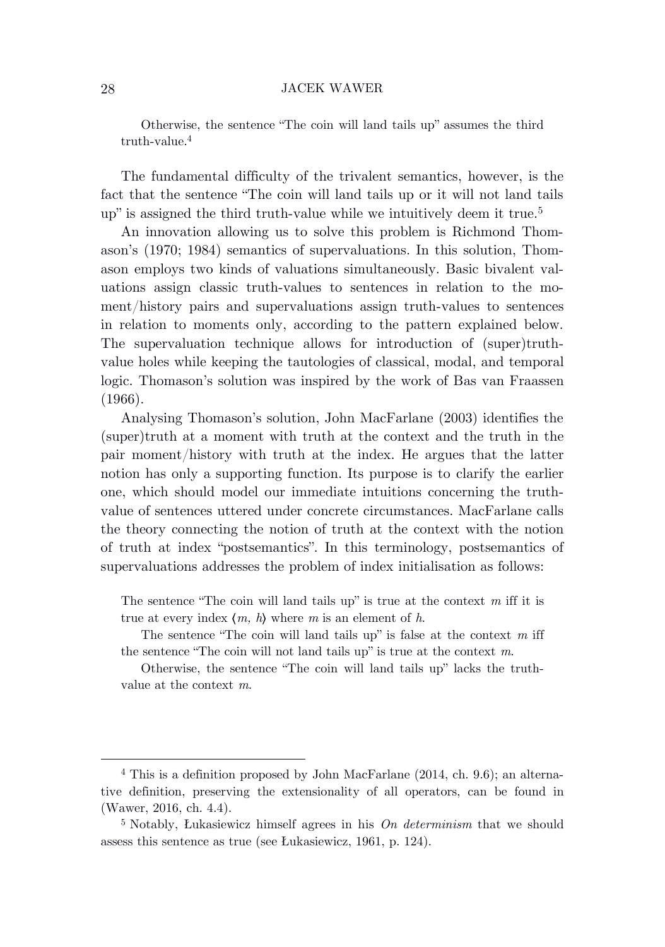Otherwise, the sentence "The coin will land tails up" assumes the third truth-value. 4

The fundamental difficulty of the trivalent semantics, however, is the fact that the sentence "The coin will land tails up or it will not land tails up" is assigned the third truth-value while we intuitively deem it true. 5

An innovation allowing us to solve this problem is Richmond Thomason's (1970; 1984) semantics of supervaluations. In this solution, Thomason employs two kinds of valuations simultaneously. Basic bivalent valuations assign classic truth-values to sentences in relation to the moment/history pairs and supervaluations assign truth-values to sentences in relation to moments only, according to the pattern explained below. The supervaluation technique allows for introduction of (super)truthvalue holes while keeping the tautologies of classical, modal, and temporal logic. Thomason's solution was inspired by the work of Bas van Fraassen (1966).

Analysing Thomason's solution, John MacFarlane (2003) identifies the (super)truth at a moment with truth at the context and the truth in the pair moment/history with truth at the index. He argues that the latter notion has only a supporting function. Its purpose is to clarify the earlier one, which should model our immediate intuitions concerning the truthvalue of sentences uttered under concrete circumstances. MacFarlane calls the theory connecting the notion of truth at the context with the notion of truth at index "postsemantics". In this terminology, postsemantics of supervaluations addresses the problem of index initialisation as follows:

The sentence "The coin will land tails up" is true at the context *m* iff it is true at every index 〈*m, h*〉 where *m* is an element of *h*.

The sentence "The coin will land tails up" is false at the context *m* iff the sentence "The coin will not land tails up" is true at the context *m*.

Otherwise, the sentence "The coin will land tails up" lacks the truthvalue at the context *m*.

<sup>4</sup> This is a definition proposed by John MacFarlane (2014, ch. 9.6); an alternative definition, preserving the extensionality of all operators, can be found in (Wawer, 2016, ch. 4.4).

<sup>5</sup> Notably, Łukasiewicz himself agrees in his *On determinism* that we should assess this sentence as true (see Łukasiewicz, 1961, p. 124).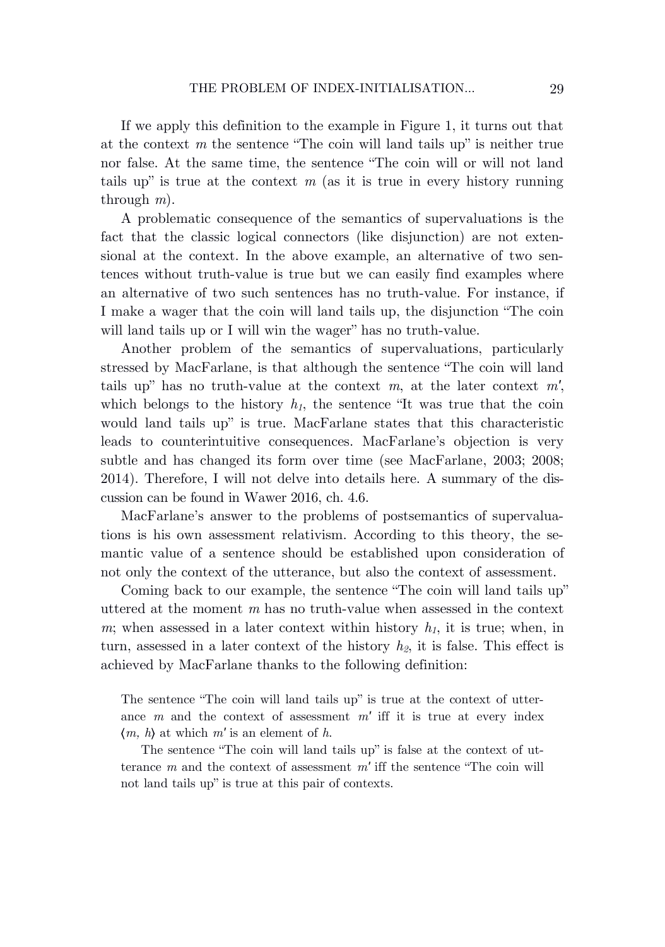If we apply this definition to the example in Figure 1, it turns out that at the context *m* the sentence "The coin will land tails up" is neither true nor false. At the same time, the sentence "The coin will or will not land tails up" is true at the context  $m$  (as it is true in every history running through *m*).

A problematic consequence of the semantics of supervaluations is the fact that the classic logical connectors (like disjunction) are not extensional at the context. In the above example, an alternative of two sentences without truth-value is true but we can easily find examples where an alternative of two such sentences has no truth-value. For instance, if I make a wager that the coin will land tails up, the disjunction "The coin will land tails up or I will win the wager" has no truth-value.

Another problem of the semantics of supervaluations, particularly stressed by MacFarlane, is that although the sentence "The coin will land tails up" has no truth-value at the context *m*, at the later context *m′*, which belongs to the history  $h<sub>I</sub>$ , the sentence "It was true that the coin would land tails up" is true. MacFarlane states that this characteristic leads to counterintuitive consequences. MacFarlane's objection is very subtle and has changed its form over time (see MacFarlane, 2003; 2008; 2014). Therefore, I will not delve into details here. A summary of the discussion can be found in Wawer 2016, ch. 4.6.

MacFarlane's answer to the problems of postsemantics of supervaluations is his own assessment relativism. According to this theory, the semantic value of a sentence should be established upon consideration of not only the context of the utterance, but also the context of assessment.

Coming back to our example, the sentence "The coin will land tails up" uttered at the moment *m* has no truth-value when assessed in the context  $m$ ; when assessed in a later context within history  $h_1$ , it is true; when, in turn, assessed in a later context of the history *h2*, it is false. This effect is achieved by MacFarlane thanks to the following definition:

The sentence "The coin will land tails up" is true at the context of utterance *m* and the context of assessment *m′* iff it is true at every index  $\langle m, h \rangle$  at which  $m'$  is an element of  $h$ .

The sentence "The coin will land tails up" is false at the context of utterance *m* and the context of assessment *m′* iff the sentence "The coin will not land tails up" is true at this pair of contexts.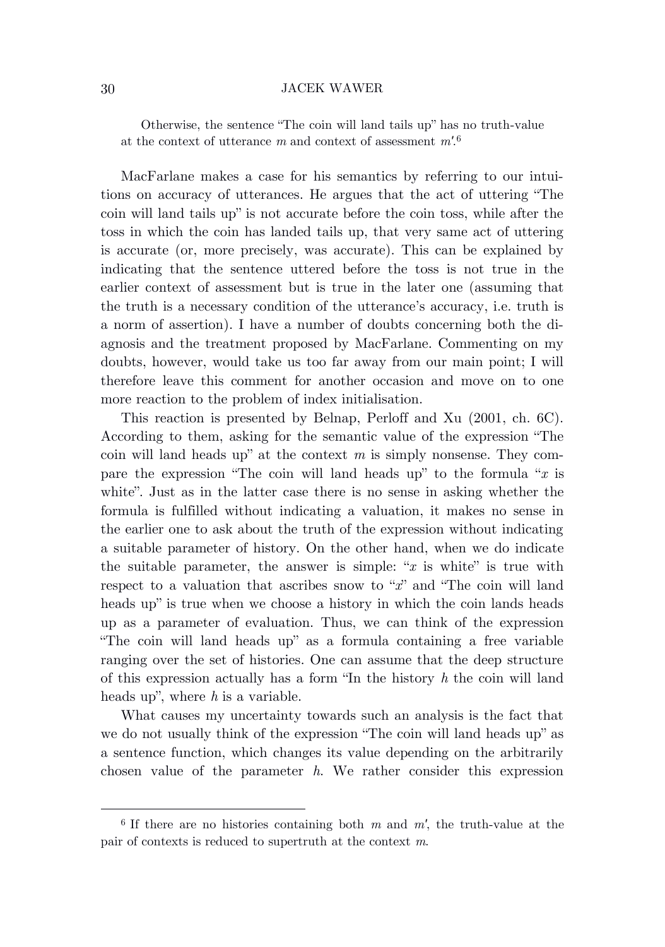Otherwise, the sentence "The coin will land tails up" has no truth-value at the context of utterance *m* and context of assessment *m′*. 6

MacFarlane makes a case for his semantics by referring to our intuitions on accuracy of utterances. He argues that the act of uttering "The coin will land tails up" is not accurate before the coin toss, while after the toss in which the coin has landed tails up, that very same act of uttering is accurate (or, more precisely, was accurate). This can be explained by indicating that the sentence uttered before the toss is not true in the earlier context of assessment but is true in the later one (assuming that the truth is a necessary condition of the utterance's accuracy, i.e. truth is a norm of assertion). I have a number of doubts concerning both the diagnosis and the treatment proposed by MacFarlane. Commenting on my doubts, however, would take us too far away from our main point; I will therefore leave this comment for another occasion and move on to one more reaction to the problem of index initialisation.

This reaction is presented by Belnap, Perloff and Xu (2001, ch. 6C). According to them, asking for the semantic value of the expression "The coin will land heads up" at the context *m* is simply nonsense. They compare the expression "The coin will land heads up" to the formula "*x* is white". Just as in the latter case there is no sense in asking whether the formula is fulfilled without indicating a valuation, it makes no sense in the earlier one to ask about the truth of the expression without indicating a suitable parameter of history. On the other hand, when we do indicate the suitable parameter, the answer is simple: " $x$  is white" is true with respect to a valuation that ascribes snow to "*x*" and "The coin will land heads up" is true when we choose a history in which the coin lands heads up as a parameter of evaluation. Thus, we can think of the expression "The coin will land heads up" as a formula containing a free variable ranging over the set of histories. One can assume that the deep structure of this expression actually has a form "In the history *h* the coin will land heads up", where *h* is a variable.

What causes my uncertainty towards such an analysis is the fact that we do not usually think of the expression "The coin will land heads up" as a sentence function, which changes its value depending on the arbitrarily chosen value of the parameter *h*. We rather consider this expression

<sup>6</sup> If there are no histories containing both *m* and *m′*, the truth-value at the pair of contexts is reduced to supertruth at the context *m*.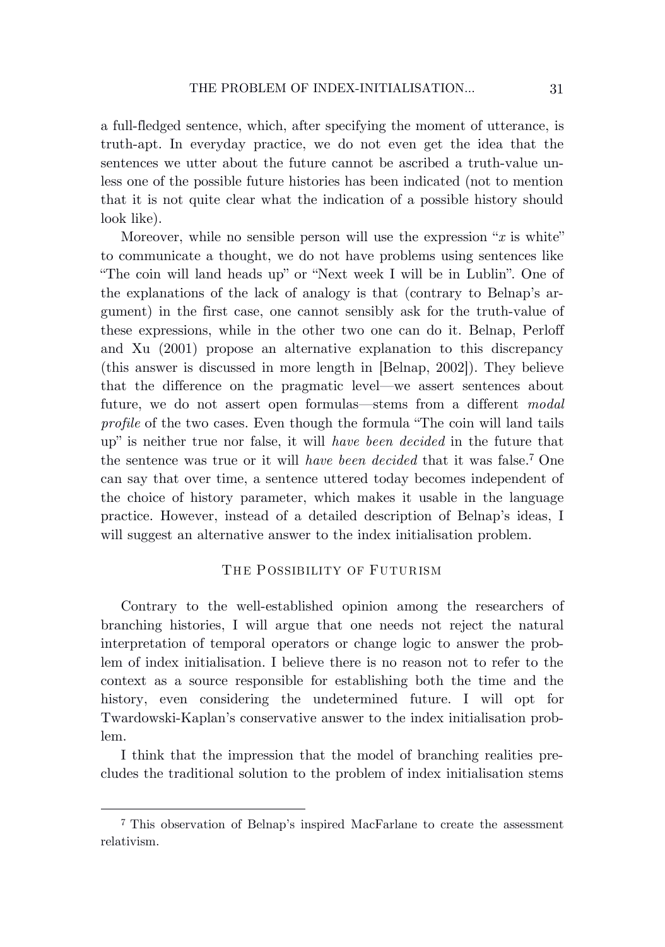a full-fledged sentence, which, after specifying the moment of utterance, is truth-apt. In everyday practice, we do not even get the idea that the sentences we utter about the future cannot be ascribed a truth-value unless one of the possible future histories has been indicated (not to mention that it is not quite clear what the indication of a possible history should look like).

Moreover, while no sensible person will use the expression "*x* is white" to communicate a thought, we do not have problems using sentences like "The coin will land heads up" or "Next week I will be in Lublin". One of the explanations of the lack of analogy is that (contrary to Belnap's argument) in the first case, one cannot sensibly ask for the truth-value of these expressions, while in the other two one can do it. Belnap, Perloff and Xu (2001) propose an alternative explanation to this discrepancy (this answer is discussed in more length in [Belnap, 2002]). They believe that the difference on the pragmatic level—we assert sentences about future, we do not assert open formulas—stems from a different *modal profile* of the two cases. Even though the formula "The coin will land tails up" is neither true nor false, it will *have been decided* in the future that the sentence was true or it will *have been decided* that it was false. <sup>7</sup> One can say that over time, a sentence uttered today becomes independent of the choice of history parameter, which makes it usable in the language practice. However, instead of a detailed description of Belnap's ideas, I will suggest an alternative answer to the index initialisation problem.

# THE POSSIBILITY OF FUTURISM

Contrary to the well-established opinion among the researchers of branching histories, I will argue that one needs not reject the natural interpretation of temporal operators or change logic to answer the problem of index initialisation. I believe there is no reason not to refer to the context as a source responsible for establishing both the time and the history, even considering the undetermined future. I will opt for Twardowski-Kaplan's conservative answer to the index initialisation problem.

I think that the impression that the model of branching realities precludes the traditional solution to the problem of index initialisation stems

<sup>7</sup> This observation of Belnap's inspired MacFarlane to create the assessment relativism.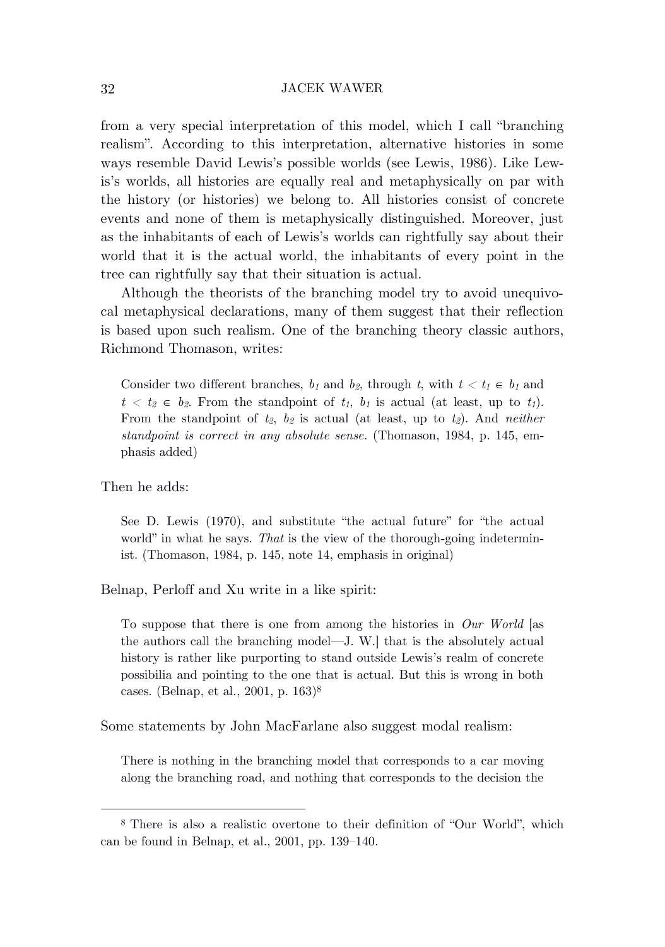from a very special interpretation of this model, which I call "branching realism". According to this interpretation, alternative histories in some ways resemble David Lewis's possible worlds (see Lewis, 1986). Like Lewis's worlds, all histories are equally real and metaphysically on par with the history (or histories) we belong to. All histories consist of concrete events and none of them is metaphysically distinguished. Moreover, just as the inhabitants of each of Lewis's worlds can rightfully say about their world that it is the actual world, the inhabitants of every point in the tree can rightfully say that their situation is actual.

Although the theorists of the branching model try to avoid unequivocal metaphysical declarations, many of them suggest that their reflection is based upon such realism. One of the branching theory classic authors, Richmond Thomason, writes:

Consider two different branches,  $b_1$  and  $b_2$ , through  $t$ , with  $t < t_1 \in b_1$  and  $t < t_2 \in b_2$ . From the standpoint of  $t_1$ ,  $b_1$  is actual (at least, up to  $t_1$ ). From the standpoint of  $t_2$ ,  $b_2$  is actual (at least, up to  $t_2$ ). And *neither standpoint is correct in any absolute sense*. (Thomason, 1984, p. 145, emphasis added)

# Then he adds:

See D. Lewis (1970), and substitute "the actual future" for "the actual world" in what he says. *That* is the view of the thorough-going indeterminist. (Thomason, 1984, p. 145, note 14, emphasis in original)

### Belnap, Perloff and Xu write in a like spirit:

To suppose that there is one from among the histories in *Our World* [as the authors call the branching model—J. W.] that is the absolutely actual history is rather like purporting to stand outside Lewis's realm of concrete possibilia and pointing to the one that is actual. But this is wrong in both cases. (Belnap, et al., 2001, p. 163)<sup>8</sup>

Some statements by John MacFarlane also suggest modal realism:

There is nothing in the branching model that corresponds to a car moving along the branching road, and nothing that corresponds to the decision the

<sup>8</sup> There is also a realistic overtone to their definition of "Our World", which can be found in Belnap, et al., 2001, pp. 139–140.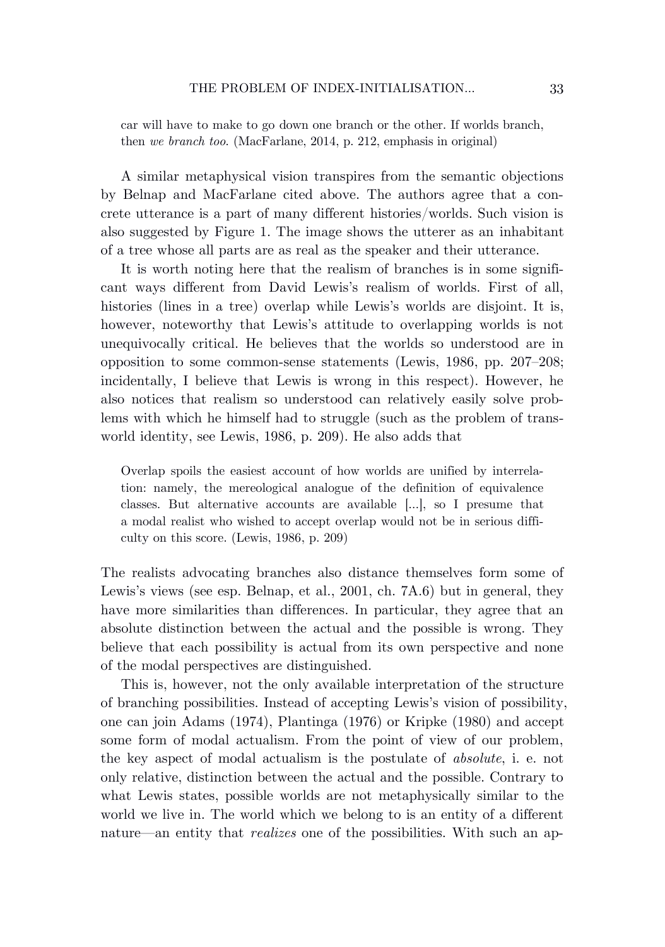car will have to make to go down one branch or the other. If worlds branch, then *we branch too*. (MacFarlane, 2014, p. 212, emphasis in original)

A similar metaphysical vision transpires from the semantic objections by Belnap and MacFarlane cited above. The authors agree that a concrete utterance is a part of many different histories/worlds. Such vision is also suggested by Figure 1. The image shows the utterer as an inhabitant of a tree whose all parts are as real as the speaker and their utterance.

It is worth noting here that the realism of branches is in some significant ways different from David Lewis's realism of worlds. First of all, histories (lines in a tree) overlap while Lewis's worlds are disjoint. It is, however, noteworthy that Lewis's attitude to overlapping worlds is not unequivocally critical. He believes that the worlds so understood are in opposition to some common-sense statements (Lewis, 1986, pp. 207–208; incidentally, I believe that Lewis is wrong in this respect). However, he also notices that realism so understood can relatively easily solve problems with which he himself had to struggle (such as the problem of transworld identity, see Lewis, 1986, p. 209). He also adds that

Overlap spoils the easiest account of how worlds are unified by interrelation: namely, the mereological analogue of the definition of equivalence classes. But alternative accounts are available […], so I presume that a modal realist who wished to accept overlap would not be in serious difficulty on this score. (Lewis, 1986, p. 209)

The realists advocating branches also distance themselves form some of Lewis's views (see esp. Belnap, et al., 2001, ch. 7A.6) but in general, they have more similarities than differences. In particular, they agree that an absolute distinction between the actual and the possible is wrong. They believe that each possibility is actual from its own perspective and none of the modal perspectives are distinguished.

This is, however, not the only available interpretation of the structure of branching possibilities. Instead of accepting Lewis's vision of possibility, one can join Adams (1974), Plantinga (1976) or Kripke (1980) and accept some form of modal actualism. From the point of view of our problem, the key aspect of modal actualism is the postulate of *absolute*, i. e. not only relative, distinction between the actual and the possible. Contrary to what Lewis states, possible worlds are not metaphysically similar to the world we live in. The world which we belong to is an entity of a different nature—an entity that *realizes* one of the possibilities. With such an ap-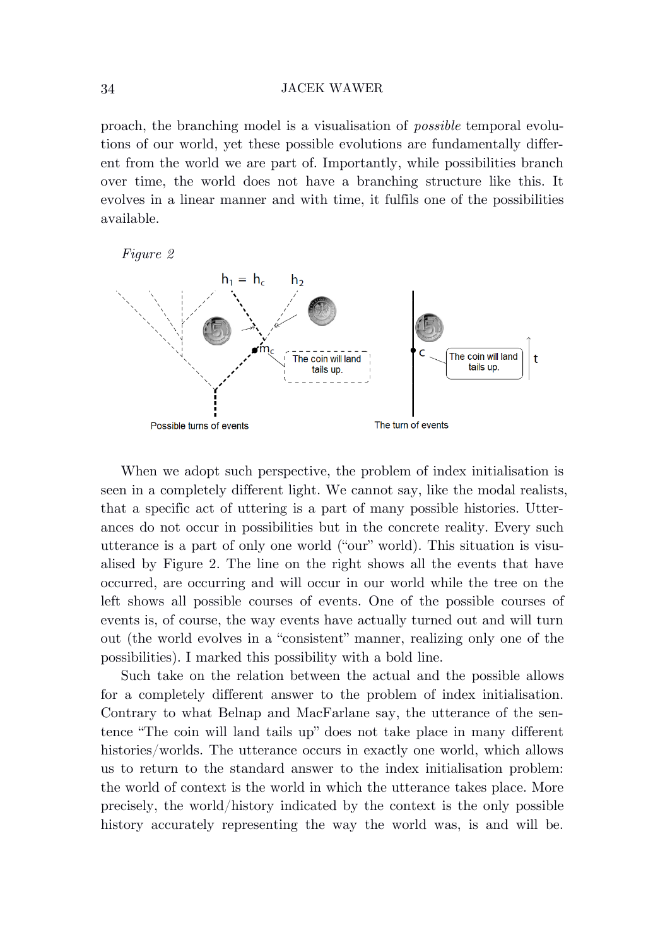proach, the branching model is a visualisation of *possible* temporal evolutions of our world, yet these possible evolutions are fundamentally different from the world we are part of. Importantly, while possibilities branch over time, the world does not have a branching structure like this. It evolves in a linear manner and with time, it fulfils one of the possibilities available.





When we adopt such perspective, the problem of index initialisation is seen in a completely different light. We cannot say, like the modal realists, that a specific act of uttering is a part of many possible histories. Utterances do not occur in possibilities but in the concrete reality. Every such utterance is a part of only one world ("our" world). This situation is visualised by Figure 2. The line on the right shows all the events that have occurred, are occurring and will occur in our world while the tree on the left shows all possible courses of events. One of the possible courses of events is, of course, the way events have actually turned out and will turn out (the world evolves in a "consistent" manner, realizing only one of the possibilities). I marked this possibility with a bold line.

Such take on the relation between the actual and the possible allows for a completely different answer to the problem of index initialisation. Contrary to what Belnap and MacFarlane say, the utterance of the sentence "The coin will land tails up" does not take place in many different histories/worlds. The utterance occurs in exactly one world, which allows us to return to the standard answer to the index initialisation problem: the world of context is the world in which the utterance takes place. More precisely, the world/history indicated by the context is the only possible history accurately representing the way the world was, is and will be.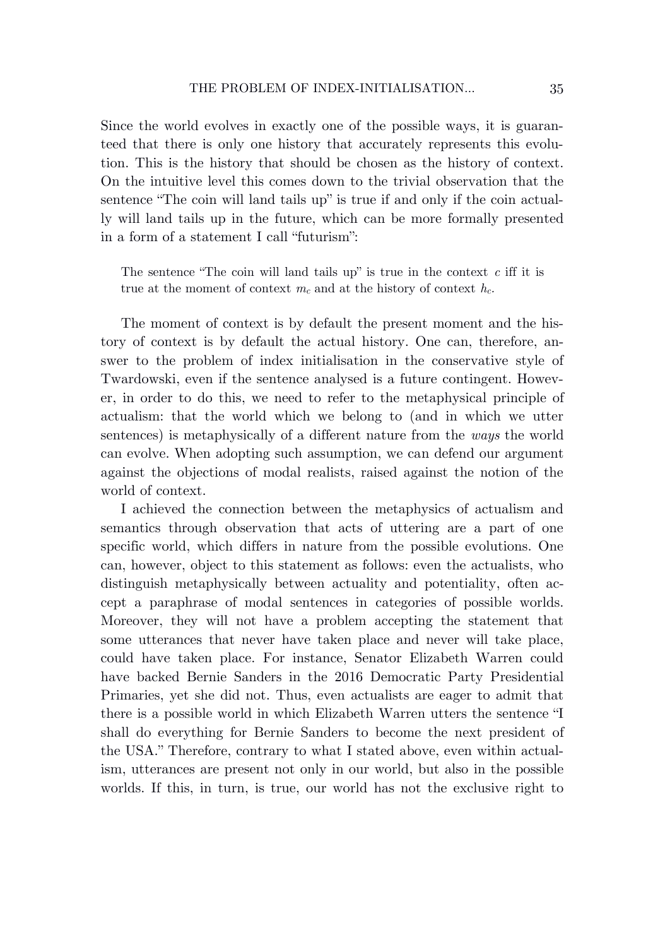Since the world evolves in exactly one of the possible ways, it is guaranteed that there is only one history that accurately represents this evolution. This is the history that should be chosen as the history of context. On the intuitive level this comes down to the trivial observation that the sentence "The coin will land tails up" is true if and only if the coin actually will land tails up in the future, which can be more formally presented in a form of a statement I call "futurism":

The sentence "The coin will land tails up" is true in the context *c* iff it is true at the moment of context  $m_c$  and at the history of context  $h_c$ .

The moment of context is by default the present moment and the history of context is by default the actual history. One can, therefore, answer to the problem of index initialisation in the conservative style of Twardowski, even if the sentence analysed is a future contingent. However, in order to do this, we need to refer to the metaphysical principle of actualism: that the world which we belong to (and in which we utter sentences) is metaphysically of a different nature from the *ways* the world can evolve. When adopting such assumption, we can defend our argument against the objections of modal realists, raised against the notion of the world of context.

I achieved the connection between the metaphysics of actualism and semantics through observation that acts of uttering are a part of one specific world, which differs in nature from the possible evolutions. One can, however, object to this statement as follows: even the actualists, who distinguish metaphysically between actuality and potentiality, often accept a paraphrase of modal sentences in categories of possible worlds. Moreover, they will not have a problem accepting the statement that some utterances that never have taken place and never will take place, could have taken place. For instance, Senator Elizabeth Warren could have backed Bernie Sanders in the 2016 Democratic Party Presidential Primaries, yet she did not. Thus, even actualists are eager to admit that there is a possible world in which Elizabeth Warren utters the sentence "I shall do everything for Bernie Sanders to become the next president of the USA." Therefore, contrary to what I stated above, even within actualism, utterances are present not only in our world, but also in the possible worlds. If this, in turn, is true, our world has not the exclusive right to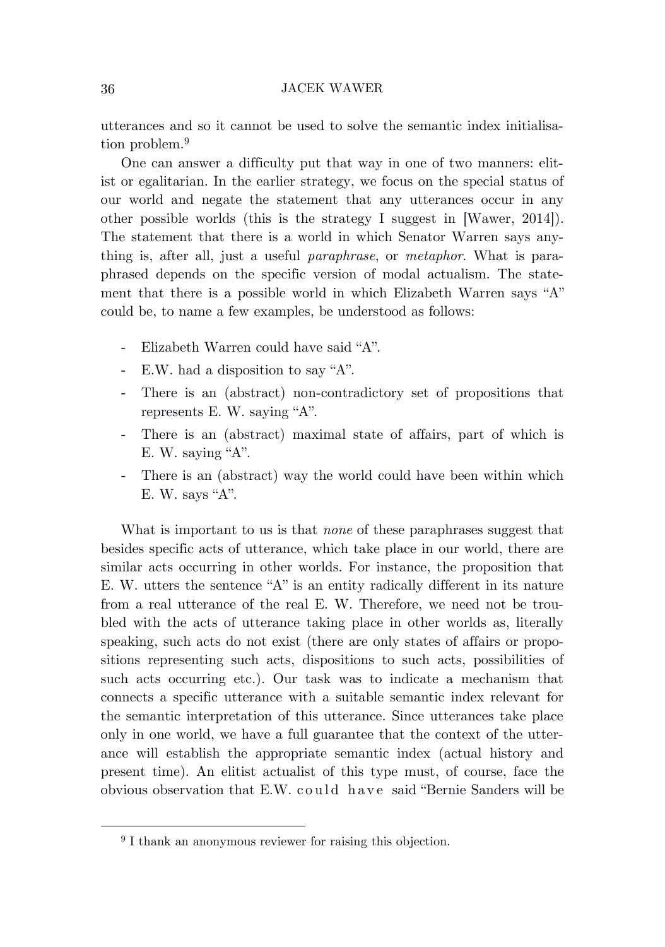utterances and so it cannot be used to solve the semantic index initialisation problem. 9

One can answer a difficulty put that way in one of two manners: elitist or egalitarian. In the earlier strategy, we focus on the special status of our world and negate the statement that any utterances occur in any other possible worlds (this is the strategy I suggest in [Wawer, 2014]). The statement that there is a world in which Senator Warren says anything is, after all, just a useful *paraphrase*, or *metaphor*. What is paraphrased depends on the specific version of modal actualism. The statement that there is a possible world in which Elizabeth Warren says "A" could be, to name a few examples, be understood as follows:

- Elizabeth Warren could have said "A".
- E.W. had a disposition to say "A".
- There is an (abstract) non-contradictory set of propositions that represents E. W. saying "A".
- There is an (abstract) maximal state of affairs, part of which is E. W. saying "A".
- There is an (abstract) way the world could have been within which E. W. says "A".

What is important to us is that *none* of these paraphrases suggest that besides specific acts of utterance, which take place in our world, there are similar acts occurring in other worlds. For instance, the proposition that E. W. utters the sentence "A" is an entity radically different in its nature from a real utterance of the real E. W. Therefore, we need not be troubled with the acts of utterance taking place in other worlds as, literally speaking, such acts do not exist (there are only states of affairs or propositions representing such acts, dispositions to such acts, possibilities of such acts occurring etc.). Our task was to indicate a mechanism that connects a specific utterance with a suitable semantic index relevant for the semantic interpretation of this utterance. Since utterances take place only in one world, we have a full guarantee that the context of the utterance will establish the appropriate semantic index (actual history and present time). An elitist actualist of this type must, of course, face the obvious observation that E.W. could have said "Bernie Sanders will be

<sup>9</sup> I thank an anonymous reviewer for raising this objection.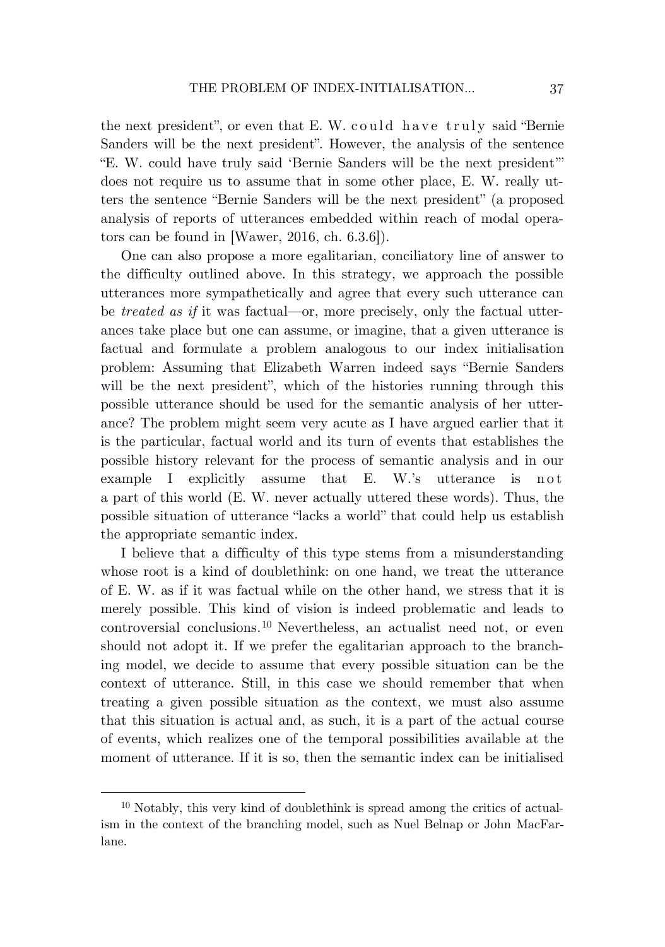the next president", or even that E. W. could have truly said "Bernie Sanders will be the next president". However, the analysis of the sentence "E. W. could have truly said 'Bernie Sanders will be the next president'" does not require us to assume that in some other place, E. W. really utters the sentence "Bernie Sanders will be the next president" (a proposed analysis of reports of utterances embedded within reach of modal operators can be found in [Wawer, 2016, ch. 6.3.6]).

One can also propose a more egalitarian, conciliatory line of answer to the difficulty outlined above. In this strategy, we approach the possible utterances more sympathetically and agree that every such utterance can be *treated as if* it was factual—or, more precisely, only the factual utterances take place but one can assume, or imagine, that a given utterance is factual and formulate a problem analogous to our index initialisation problem: Assuming that Elizabeth Warren indeed says "Bernie Sanders will be the next president", which of the histories running through this possible utterance should be used for the semantic analysis of her utterance? The problem might seem very acute as I have argued earlier that it is the particular, factual world and its turn of events that establishes the possible history relevant for the process of semantic analysis and in our example I explicitly assume that E. W.'s utterance is not a part of this world (E. W. never actually uttered these words). Thus, the possible situation of utterance "lacks a world" that could help us establish the appropriate semantic index.

I believe that a difficulty of this type stems from a misunderstanding whose root is a kind of doublethink: on one hand, we treat the utterance of E. W. as if it was factual while on the other hand, we stress that it is merely possible. This kind of vision is indeed problematic and leads to controversial conclusions. <sup>10</sup> Nevertheless, an actualist need not, or even should not adopt it. If we prefer the egalitarian approach to the branching model, we decide to assume that every possible situation can be the context of utterance. Still, in this case we should remember that when treating a given possible situation as the context, we must also assume that this situation is actual and, as such, it is a part of the actual course of events, which realizes one of the temporal possibilities available at the moment of utterance. If it is so, then the semantic index can be initialised

<sup>10</sup> Notably, this very kind of doublethink is spread among the critics of actualism in the context of the branching model, such as Nuel Belnap or John MacFarlane.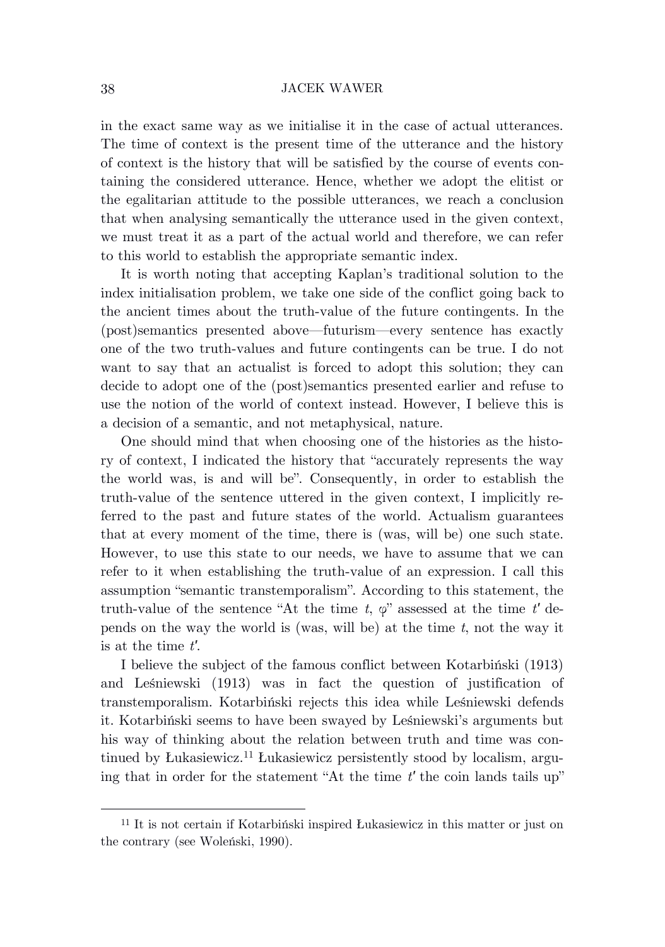in the exact same way as we initialise it in the case of actual utterances. The time of context is the present time of the utterance and the history of context is the history that will be satisfied by the course of events containing the considered utterance. Hence, whether we adopt the elitist or the egalitarian attitude to the possible utterances, we reach a conclusion that when analysing semantically the utterance used in the given context, we must treat it as a part of the actual world and therefore, we can refer to this world to establish the appropriate semantic index.

It is worth noting that accepting Kaplan's traditional solution to the index initialisation problem, we take one side of the conflict going back to the ancient times about the truth-value of the future contingents. In the (post)semantics presented above—futurism—every sentence has exactly one of the two truth-values and future contingents can be true. I do not want to say that an actualist is forced to adopt this solution; they can decide to adopt one of the (post)semantics presented earlier and refuse to use the notion of the world of context instead. However, I believe this is a decision of a semantic, and not metaphysical, nature.

One should mind that when choosing one of the histories as the history of context, I indicated the history that "accurately represents the way the world was, is and will be". Consequently, in order to establish the truth-value of the sentence uttered in the given context, I implicitly referred to the past and future states of the world. Actualism guarantees that at every moment of the time, there is (was, will be) one such state. However, to use this state to our needs, we have to assume that we can refer to it when establishing the truth-value of an expression. I call this assumption "semantic transtemporalism". According to this statement, the truth-value of the sentence "At the time *t*, φ" assessed at the time *t′* depends on the way the world is (was, will be) at the time *t*, not the way it is at the time *t′*.

I believe the subject of the famous conflict between Kotarbiński (1913) and Leśniewski (1913) was in fact the question of justification of transtemporalism. Kotarbiński rejects this idea while Leśniewski defends it. Kotarbiński seems to have been swayed by Leśniewski's arguments but his way of thinking about the relation between truth and time was continued by Łukasiewicz.<sup>11</sup> Łukasiewicz persistently stood by localism, arguing that in order for the statement "At the time *t′* the coin lands tails up"

<sup>11</sup> It is not certain if Kotarbiński inspired Łukasiewicz in this matter or just on the contrary (see Woleński, 1990).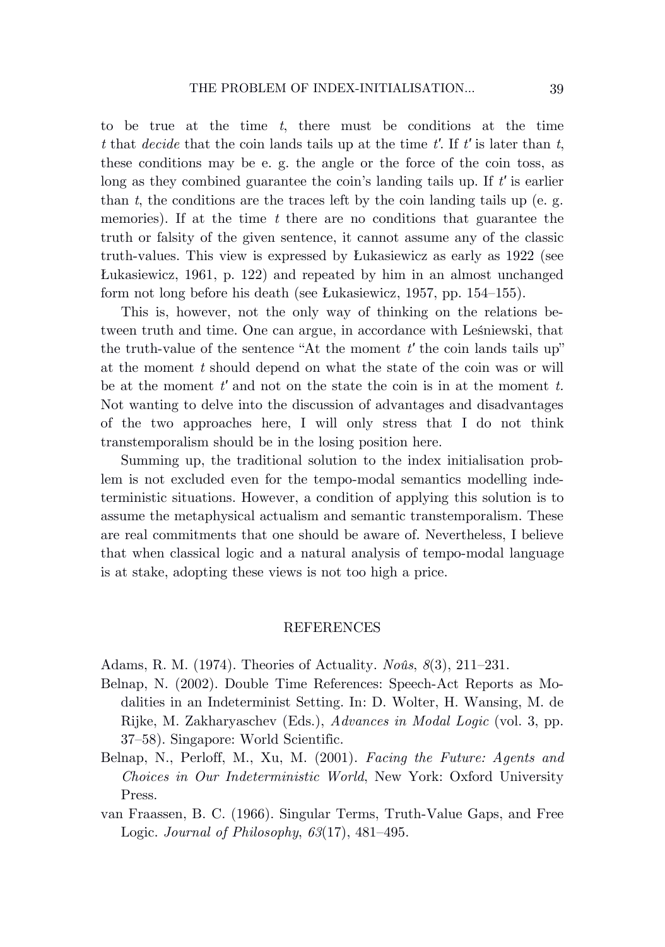to be true at the time *t*, there must be conditions at the time *t* that *decide* that the coin lands tails up at the time *t′*. If *t′* is later than *t*, these conditions may be e. g. the angle or the force of the coin toss, as long as they combined guarantee the coin's landing tails up. If *t′* is earlier than  $t$ , the conditions are the traces left by the coin landing tails up (e. g. memories). If at the time *t* there are no conditions that guarantee the truth or falsity of the given sentence, it cannot assume any of the classic truth-values. This view is expressed by Łukasiewicz as early as 1922 (see Łukasiewicz, 1961, p. 122) and repeated by him in an almost unchanged form not long before his death (see Łukasiewicz, 1957, pp. 154–155).

This is, however, not the only way of thinking on the relations between truth and time. One can argue, in accordance with Leśniewski, that the truth-value of the sentence "At the moment *t′* the coin lands tails up" at the moment *t* should depend on what the state of the coin was or will be at the moment *t′* and not on the state the coin is in at the moment *t.*  Not wanting to delve into the discussion of advantages and disadvantages of the two approaches here, I will only stress that I do not think transtemporalism should be in the losing position here.

Summing up, the traditional solution to the index initialisation problem is not excluded even for the tempo-modal semantics modelling indeterministic situations. However, a condition of applying this solution is to assume the metaphysical actualism and semantic transtemporalism. These are real commitments that one should be aware of. Nevertheless, I believe that when classical logic and a natural analysis of tempo-modal language is at stake, adopting these views is not too high a price.

### REFERENCES

Adams, R. M. (1974). Theories of Actuality. *Noûs*, *8*(3), 211–231.

- Belnap, N. (2002). Double Time References: Speech-Act Reports as Modalities in an Indeterminist Setting. In: D. Wolter, H. Wansing, M. de Rijke, M. Zakharyaschev (Eds.), *Advances in Modal Logic* (vol. 3, pp. 37–58). Singapore: World Scientific.
- Belnap, N., Perloff, M., Xu, M. (2001). *Facing the Future: Agents and Choices in Our Indeterministic World*, New York: Oxford University Press.
- van Fraassen, B. C. (1966). Singular Terms, Truth-Value Gaps, and Free Logic. *Journal of Philosophy*, *63*(17), 481–495.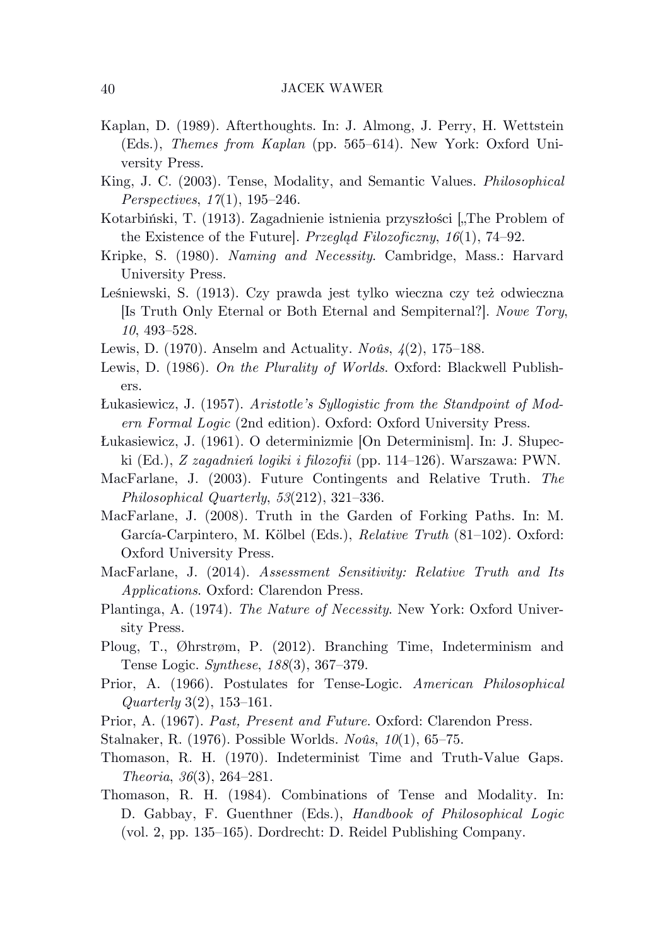- Kaplan, D. (1989). Afterthoughts. In: J. Almong, J. Perry, H. Wettstein (Eds.), *Themes from Kaplan* (pp. 565–614). New York: Oxford University Press.
- King, J. C. (2003). Tense, Modality, and Semantic Values. *Philosophical Perspectives*, *17*(1), 195–246.
- Kotarbiński, T. (1913). Zagadnienie istnienia przyszłości ["The Problem of the Existence of the Future]. *Przegląd Filozoficzny*, *16*(1), 74–92.
- Kripke, S. (1980). *Naming and Necessity*. Cambridge, Mass.: Harvard University Press.
- Leśniewski, S. (1913). Czy prawda jest tylko wieczna czy też odwieczna [Is Truth Only Eternal or Both Eternal and Sempiternal?]. *Nowe Tory*, *10*, 493–528.
- Lewis, D. (1970). Anselm and Actuality. *Noûs*, *4*(2), 175–188.
- Lewis, D. (1986). *On the Plurality of Worlds*. Oxford: Blackwell Publishers.
- Łukasiewicz, J. (1957). *Aristotle's Syllogistic from the Standpoint of Modern Formal Logic* (2nd edition). Oxford: Oxford University Press.
- Łukasiewicz, J. (1961). O determinizmie [On Determinism]. In: J. Słupecki (Ed.), *Z zagadnień logiki i filozofii* (pp. 114–126). Warszawa: PWN.
- MacFarlane, J. (2003). Future Contingents and Relative Truth. *The Philosophical Quarterly*, *53*(212), 321–336.
- MacFarlane, J. (2008). Truth in the Garden of Forking Paths. In: M. García-Carpintero, M. Kölbel (Eds.), *Relative Truth* (81–102). Oxford: Oxford University Press.
- MacFarlane, J. (2014). *Assessment Sensitivity: Relative Truth and Its Applications*. Oxford: Clarendon Press.
- Plantinga, A. (1974). *The Nature of Necessity*. New York: Oxford University Press.
- Ploug, T., Øhrstrøm, P. (2012). Branching Time, Indeterminism and Tense Logic. *Synthese*, *188*(3), 367–379.
- Prior, A. (1966). Postulates for Tense-Logic. *American Philosophical Quarterly* 3(2), 153–161.
- Prior, A. (1967). *Past, Present and Future*. Oxford: Clarendon Press.
- Stalnaker, R. (1976). Possible Worlds. *Noûs*, *10*(1), 65–75.
- Thomason, R. H. (1970). Indeterminist Time and Truth-Value Gaps. *Theoria*, *36*(3), 264–281.
- Thomason, R. H. (1984). Combinations of Tense and Modality. In: D. Gabbay, F. Guenthner (Eds.), *Handbook of Philosophical Logic* (vol. 2, pp. 135–165). Dordrecht: D. Reidel Publishing Company.